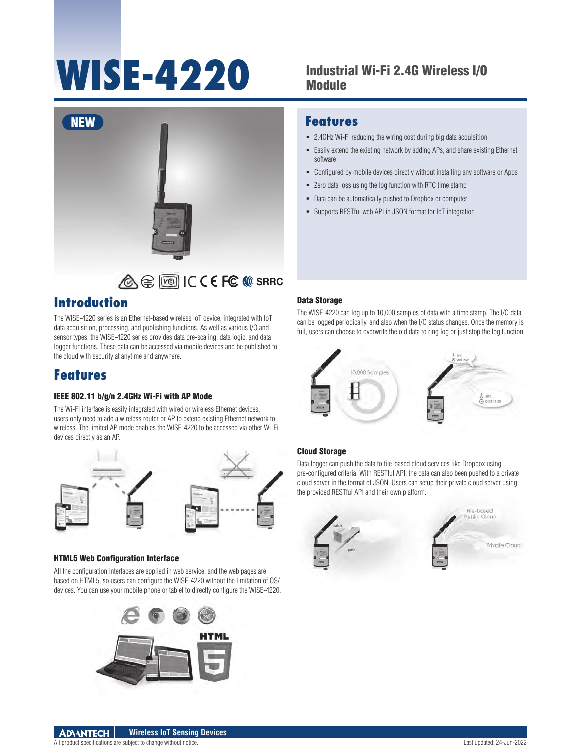# **WISE-4220** Industrial Wi-Fi 2.4G Wireless I/O

## Module



## **Introduction**

The WISE-4220 series is an Ethernet-based wireless IoT device, integrated with IoT data acquisition, processing, and publishing functions. As well as various I/O and sensor types, the WISE-4220 series provides data pre-scaling, data logic, and data logger functions. These data can be accessed via mobile devices and be published to the cloud with security at anytime and anywhere.

## **Features**

#### IEEE 802.11 b/g/n 2.4GHz Wi-Fi with AP Mode

The Wi-Fi interface is easily integrated with wired or wireless Ethernet devices, users only need to add a wireless router or AP to extend existing Ethernet network to wireless. The limited AP mode enables the WISE-4220 to be accessed via other Wi-Fi devices directly as an AP.



#### HTML5 Web Configuration Interface

All the configuration interfaces are applied in web service, and the web pages are based on HTML5, so users can configure the WISE-4220 without the limitation of OS/ devices. You can use your mobile phone or tablet to directly configure the WISE-4220.



### **Features**

- 2.4GHz Wi-Fi reducing the wiring cost during big data acquisition
- Easily extend the existing network by adding APs, and share existing Ethernet software
- Configured by mobile devices directly without installing any software or Apps
- Zero data loss using the log function with RTC time stamp
- Data can be automatically pushed to Dropbox or computer
- Supports RESTful web API in JSON format for IoT integration

#### Data Storage

The WISE-4220 can log up to 10,000 samples of data with a time stamp. The I/O data can be logged periodically, and also when the I/O status changes. Once the memory is full, users can choose to overwrite the old data to ring log or just stop the log function.



#### Cloud Storage

Data logger can push the data to file-based cloud services like Dropbox using pre-configured criteria. With RESTful API, the data can also been pushed to a private cloud server in the format of JSON. Users can setup their private cloud server using the provided RESTful API and their own platform.